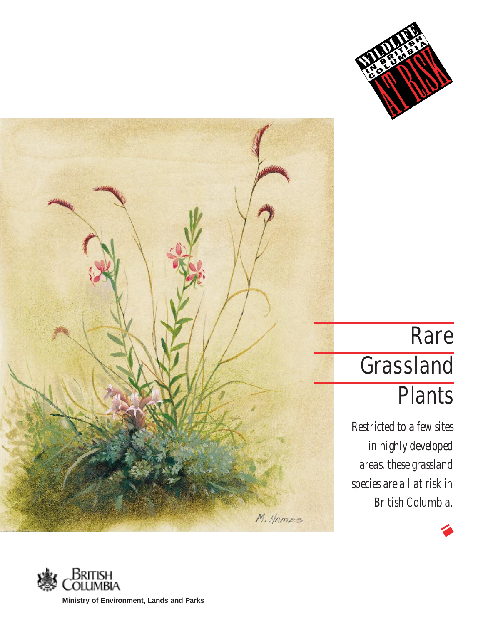

# Rare **Grassland Plants**

*Restricted to a few sites in highly developed areas, these grassland species are all at risk in British Columbia.*

M. HAMES

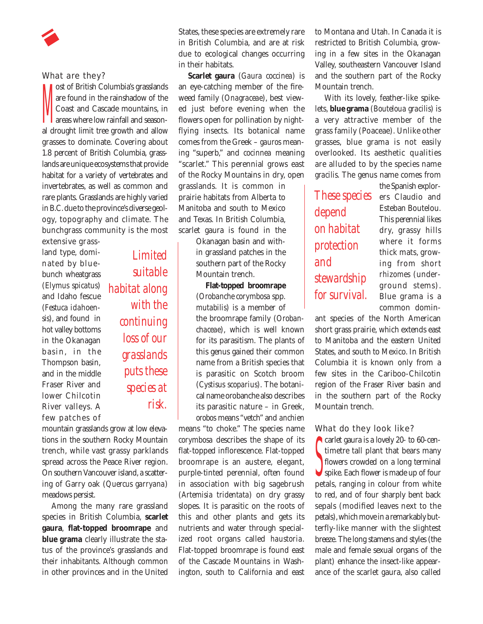#### What are they?

**N** ost of British Columbia's grasslands are found in the rainshadow of the Coast and Cascade mountains, in areas where low rainfall and seasonal drought limit tree growth and allow grasses to dominate. Covering about 1.8 percent of British Columbia, grasslands are unique ecosystems that provide habitat for a variety of vertebrates and invertebrates, as well as common and rare plants. Grasslands are highly varied in B.C.due to the province's diverse geology, topography and climate. The bunchgrass community is the most

extensive grassland type, dominated by bluebunch wheatgrass (*Elymus spicatus*) and Idaho fescue (*Festuca idahoensis*), and found in hot valley bottoms in the Okanagan basin, in the Thompson basin, and in the middle Fraser River and lower Chilcotin River valleys. A few patches of

*Limited suitable habitat along with the continuing loss of our grasslands puts these species at risk.*

mountain grasslands grow at low elevations in the southern Rocky Mountain trench, while vast grassy parklands spread across the Peace River region. On southern Vancouver island, a scattering of Garry oak (*Quercus garryana*) meadows persist.

Among the many rare grassland species in British Columbia, **scarlet gaura**, **flat-topped broomrape** and **blue grama** clearly illustrate the status of the province's grasslands and their inhabitants. Although common in other provinces and in the United States, these species are extremely rare in British Columbia, and are at risk due to ecological changes occurring in their habitats.

**Scarlet gaura** (*Gaura coccinea*) is an eye-catching member of the fireweed family (*Onagraceae*), best viewed just before evening when the flowers open for pollination by nightflying insects. Its botanical name comes from the Greek – *gauros* meaning "superb," and *cocinnea* meaning "scarlet." This perennial grows east of the Rocky Mountains in dry, open grasslands. It is common in prairie habitats from Alberta to Manitoba and south to Mexico and Texas. In British Columbia, scarlet gaura is found in the

> Okanagan basin and within grassland patches in the southern part of the Rocky Mountain trench.

## **Flat-topped broomrape**

(*Orobanche corymbosa* spp. *mutabilis*) is a member of the broomrape family (*Orobanchaceae*), which is well known for its parasitism. The plants of this genus gained their common name from a British species that is parasitic on Scotch broom (*Cystisus scoparius*). The botanical name orobanche also describes its parasitic nature – in Greek, *orobos* means "vetch" and *anchien*

means "to choke." The species name *corymbosa* describes the shape of its flat-topped inflorescence. Flat-topped broomrape is an austere, elegant, purple-tinted perennial, often found in association with big sagebrush (*Artemisia tridentata*) on dry grassy slopes. It is parasitic on the roots of this and other plants and gets its nutrients and water through specialized root organs called *haustoria*. Flat-topped broomrape is found east of the Cascade Mountains in Washington, south to California and east

to Montana and Utah. In Canada it is restricted to British Columbia, growing in a few sites in the Okanagan Valley, southeastern Vancouver Island and the southern part of the Rocky Mountain trench.

With its lovely, feather-like spikelets, **blue grama** (*Bouteloua gracilis*) is a very attractive member of the grass family (Poaceae). Unlike other grasses, blue grama is not easily overlooked. Its aesthetic qualities are alluded to by the species name *gracilis*. The genus name comes from

*These species depend on habitat protection and stewardship for survival.*

the Spanish explorers Claudio and Esteban Boutelou. This perennial likes dry, grassy hills where it forms thick mats, growing from short *rhizomes* (underground stems). Blue grama is a common domin-

ant species of the North American short grass prairie, which extends east to Manitoba and the eastern United States, and south to Mexico. In British Columbia it is known only from a few sites in the Cariboo-Chilcotin region of the Fraser River basin and in the southern part of the Rocky Mountain trench.

# What do they look like?

S<br>C<br>N carlet gaura is a lovely 20- to 60-centimetre tall plant that bears many flowers crowded on a long terminal spike. Each flower is made up of four petals, ranging in colour from white to red, and of four sharply bent back sepals (modified leaves next to the petals), which move in a remarkably butterfly-like manner with the slightest breeze. The long stamens and styles (the male and female sexual organs of the plant) enhance the insect-like appearance of the scarlet gaura, also called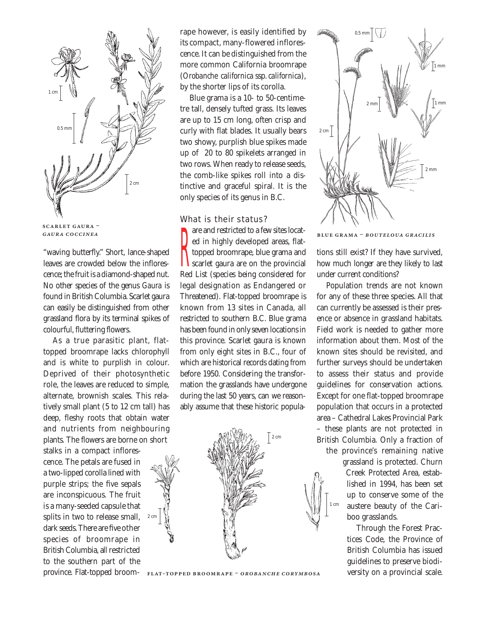

**SCARLET GAURA -**GAURA COCCINEA

"waving butterfly." Short, lance-shaped leaves are crowded below the inflorescence; the fruit is a diamond-shaped nut. No other species of the genus *Gaura* is found in British Columbia. Scarlet gaura can easily be distinguished from other grassland flora by its terminal spikes of colourful, fluttering flowers.

As a true parasitic plant, flattopped broomrape lacks chlorophyll and is white to purplish in colour. Deprived of their photosynthetic role, the leaves are reduced to simple, alternate, brownish scales. This relatively small plant (5 to 12 cm tall) has deep, fleshy roots that obtain water and nutrients from neighbouring plants. The flowers are borne on short

stalks in a compact inflorescence. The petals are fused in a two-lipped corolla lined with purple strips; the five sepals are inconspicuous. The fruit is a many-seeded capsule that splits in two to release small, dark seeds. There are five other species of broomrape in British Columbia, all restricted to the southern part of the province. Flat-topped broom-

2 cm

rape however, is easily identified by its compact, many-flowered inflorescence. It can be distinguished from the more common California broomrape (*Orobanche californica* ssp.*californica*), by the shorter lips of its corolla.

Blue grama is a 10- to 50-centimetre tall, densely tufted grass. Its leaves are up to 15 cm long, often crisp and curly with flat blades. It usually bears two showy, purplish blue spikes made up of 20 to 80 spikelets arranged in two rows. When ready to release seeds, the comb-like spikes roll into a distinctive and graceful spiral. It is the only species of its genus in B.C.

# What is their status?

**T** are and restricted to a few sites located in highly developed areas, flattopped broomrape, blue grama and scarlet gaura are on the provincial Red List (species being considered for legal designation as Endangered or Threatened). Flat-topped broomrape is known from 13 sites in Canada, all restricted to southern B.C. Blue grama has been found in only seven locations in this province. Scarlet gaura is known from only eight sites in B.C., four of which are historical records dating from before 1950. Considering the transformation the grasslands have undergone during the last 50 years, can we reasonably assume that these historic popula-



FLAT-TOPPED BROOMRAPE - OROBANCHE CORYMBOSA



**BLUE GRAMA - BOUTELOUA GRACILIS** 

tions still exist? If they have survived, how much longer are they likely to last under current conditions?

Population trends are not known for any of these three species. All that can currently be assessed is their presence or absence in grassland habitats. Field work is needed to gather more information about them. Most of the known sites should be revisited, and further surveys should be undertaken to assess their status and provide guidelines for conservation actions. Except for one flat-topped broomrape population that occurs in a protected area – Cathedral Lakes Provincial Park – these plants are not protected in British Columbia. Only a fraction of

the province's remaining native

1 cm

grassland is protected. Churn Creek Protected Area, established in 1994, has been set up to conserve some of the austere beauty of the Cariboo grasslands.

Through the Forest Practices Code, the Province of British Columbia has issued guidelines to preserve biodiversity on a provincial scale.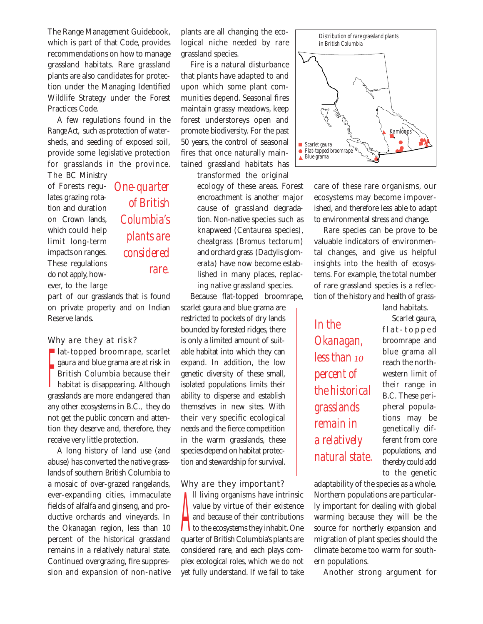The Range Management Guidebook, which is part of that Code, provides recommendations on how to manage grassland habitats. Rare grassland plants are also candidates for protection under the Managing Identified Wildlife Strategy under the Forest Practices Code.

A few regulations found in the *Range Act*, such as protection of watersheds, and seeding of exposed soil, provide some legislative protection for grasslands in the province. The BC Ministry

of Forests regulates grazing rotation and duration on Crown lands, which could help limit long-term impacts on ranges. These regulations do not apply, however, to the large

Reserve lands.

*One-quarter of British Columbia's plants are considered rare.*

part of our grasslands that is found on private property and on Indian

## Why are they at risk?

 $\prod_{i=1}^n$ **lat-topped broomrape, scarlet** gaura and blue grama are at risk in British Columbia because their habitat is disappearing. Although grasslands are more endangered than any other ecosystems in B.C., they do not get the public concern and attention they deserve and, therefore, they receive very little protection.

A long history of land use (and abuse) has converted the native grasslands of southern British Columbia to a mosaic of over-grazed rangelands, ever-expanding cities, immaculate fields of alfalfa and ginseng, and productive orchards and vineyards. In the Okanagan region, less than 10 percent of the historical grassland remains in a relatively natural state. Continued overgrazing, fire suppression and expansion of non-native

plants are all changing the ecological niche needed by rare grassland species.

Fire is a natural disturbance that plants have adapted to and upon which some plant communities depend. Seasonal fires maintain grassy meadows, keep forest understoreys open and promote biodiversity. For the past 50 years, the control of seasonal fires that once naturally maintained grassland habitats has transformed the original

ecology of these areas. Forest encroachment is another major cause of grassland degradation. Non-native species such as knapweed (*Centaurea* species), cheatgrass (*Bromus tectorum*) and orchard grass (*Dactylis glomerata*) have now become established in many places, replacing native grassland species.

Because flat-topped broomrape, scarlet gaura and blue grama are restricted to pockets of dry lands bounded by forested ridges, there is only a limited amount of suitable habitat into which they can expand. In addition, the low genetic diversity of these small, isolated populations limits their ability to disperse and establish themselves in new sites. With their very specific ecological needs and the fierce competition in the warm grasslands, these species depend on habitat protection and stewardship for survival.

## Why are they important?

The transition of the ecosystems have intrinsic<br>alue by virtue of their existence<br>and because of their contributions<br>the ecosystems they inhabit. One ll living organisms have intrinsic value by virtue of their existence and because of their contributions quarter of British Columbia's plants are considered rare, and each plays complex ecological roles, which we do not yet fully understand. If we fail to take



care of these rare organisms, our ecosystems may become impoverished, and therefore less able to adapt to environmental stress and change.

Rare species can be prove to be valuable indicators of environmental changes, and give us helpful insights into the health of ecosystems. For example, the total number of rare grassland species is a reflection of the history and health of grass-

land habitats.

*In the Okanagan, less than 10 percent of the historical grasslands remain in a relatively natural state.*

Scarlet gaura, flat-topped broomrape and blue grama all reach the northwestern limit of their range in B.C. These peripheral populations may be genetically different from core populations, and thereby could add to the genetic

adaptability of the species as a whole. Northern populations are particularly important for dealing with global warming because they will be the source for northerly expansion and migration of plant species should the climate become too warm for southern populations.

Another strong argument for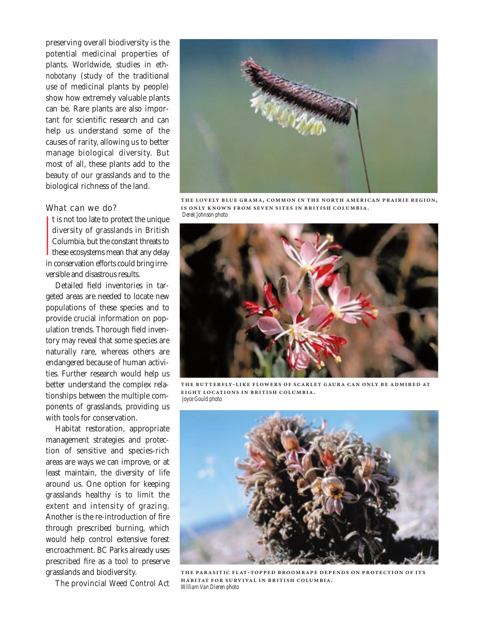preserving overall biodiversity is the potential medicinal properties of plants. Worldwide, studies in *ethnobotany* (study of the traditional use of medicinal plants by people) show how extremely valuable plants can be. Rare plants are also important for scientific research and can help us understand some of the causes of rarity, allowing us to better manage biological diversity. But most of all, these plants add to the beauty of our grasslands and to the biological richness of the land.

# What can we do?

|<br>|<br>|<br>| the unique to protect the unique diversity of grasslands in British Columbia, but the constant threats to these ecosystems mean that any delay in conservation efforts could bring irreversible and disastrous results.

Detailed field inventories in targeted areas are needed to locate new populations of these species and to provide crucial information on population trends. Thorough field inventory may reveal that some species are naturally rare, whereas others are endangered because of human activities. Further research would help us better understand the complex relationships between the multiple components of grasslands, providing us with tools for conservation.

Habitat restoration, appropriate management strategies and protection of sensitive and species-rich areas are ways we can improve, or at least maintain, the diversity of life around us. One option for keeping grasslands healthy is to limit the extent and intensity of grazing. Another is the re-introduction of fire through prescribed burning, which would help control extensive forest encroachment. BC Parks already uses prescribed fire as a tool to preserve grasslands and biodiversity.

The provincial *Weed Control Act*



THE LOVELY BLUE GRAMA, COMMON IN THE NORTH AMERICAN PRAIRIE REGION, **IS ONLY KNOWN FROM SEVEN SITES IN BRITISH COLUMBIA.** *Derek Johnson photo*



THE BUTTERFLY-LIKE FLOWERS OF SCARLET GAURA CAN ONLY BE ADMIRED AT **EIGHT LOCATIONS IN BRITISH COLUMBIA.** *Joyce Gould photo*



THE PARASITIC FLAT-TOPPED BROOMRAPE DEPENDS ON PROTECTION OF ITS **HABITAT FOR SURVIVAL IN BRITISH COLUMBIA.** *William Van Dieren photo*